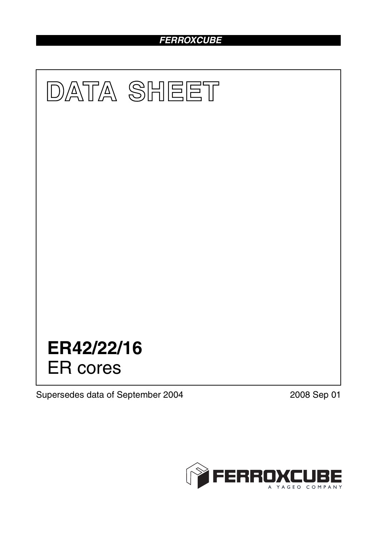# *FERROXCUBE*



Supersedes data of September 2004 2008 Sep 01

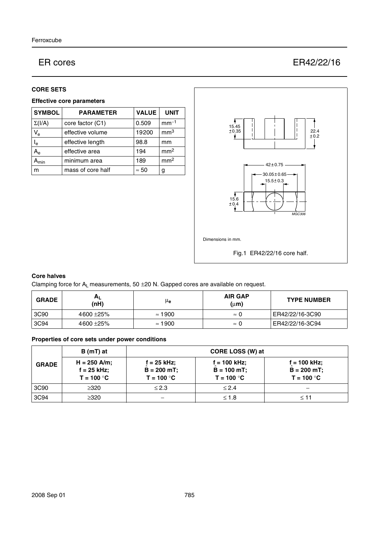# ER cores ER42/22/16

#### **CORE SETS**

### **Effective core parameters**

| <b>SYMBOL</b>             | <b>PARAMETER</b>  | <b>VALUE</b> | <b>UNIT</b>     |
|---------------------------|-------------------|--------------|-----------------|
| $\Sigma(I/A)$             | core factor (C1)  | 0.509        | $mm-1$          |
| $V_{\rm e}$               | effective volume  | 19200        | mm <sup>3</sup> |
| $\mathsf{l}_{\mathsf{e}}$ | effective length  | 98.8         | mm              |
| $A_e$                     | effective area    | 194          | mm <sup>2</sup> |
| <b>\</b> min              | minimum area      | 189          | mm <sup>2</sup> |
| m                         | mass of core half | $\approx 50$ | g               |



# **Core halves**

Clamping force for  $A_L$  measurements, 50  $\pm$ 20 N. Gapped cores are available on request.

| <b>GRADE</b> | H <sub>L</sub><br>(nH) | μ <sub>e</sub> | <b>AIR GAP</b><br>$(\mu m)$ | <b>TYPE NUMBER</b> |
|--------------|------------------------|----------------|-----------------------------|--------------------|
| 3C90         | 4600 ± 25%             | $\approx$ 1900 | $\approx$ 1                 | ER42/22/16-3C90    |
| 3C94         | 4600 ± 25%             | $\approx$ 1900 | $\approx$ 1                 | ER42/22/16-3C94    |

# **Properties of core sets under power conditions**

|              | B (mT) at                                       | CORE LOSS (W) at                                |                                                  |                                               |
|--------------|-------------------------------------------------|-------------------------------------------------|--------------------------------------------------|-----------------------------------------------|
| <b>GRADE</b> | $H = 250$ A/m;<br>$f = 25$ kHz;<br>$T = 100 °C$ | $f = 25$ kHz;<br>$B = 200 mT$ ;<br>$T = 100 °C$ | $f = 100$ kHz;<br>$B = 100 mT$ ;<br>$T = 100 °C$ | f = 100 kHz;<br>$B = 200$ mT;<br>$T = 100 °C$ |
| 3C90         | >320                                            | $\leq$ 2.3                                      | < 2.4                                            |                                               |
| 3C94         | >320                                            |                                                 | $≤ 1.8$                                          | $<$ 11                                        |